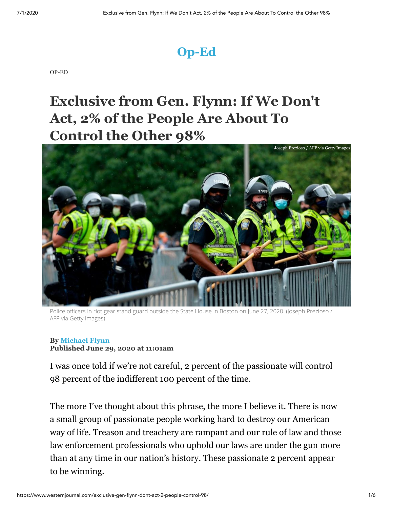## **[Op-Ed](https://www.westernjournal.com/op-ed/)**

#### [OP-ED](https://www.westernjournal.com/op-ed/)

# **Exclusive from Gen. Flynn: If We Don't Act, 2% of the People Are About To Control the Other 98%**



Police officers in riot gear stand guard outside the State House in Boston on June 27, 2020. (Joseph Prezioso / AFP via Getty Images)

#### **By [Michael Flynn](https://www.westernjournal.com/author/mflynn/) Published June 29, 2020 at 11:01am**

I was once told if we're not careful, 2 percent of the passionate will control 98 percent of the indifferent 100 percent of the time.

The more I've thought about this phrase, the more I believe it. There is now a small group of passionate people working hard to destroy our American way of life. Treason and treachery are rampant and our rule of law and those law enforcement professionals who uphold our laws are under the gun more than at any time in our nation's history. These passionate 2 percent appear to be winning.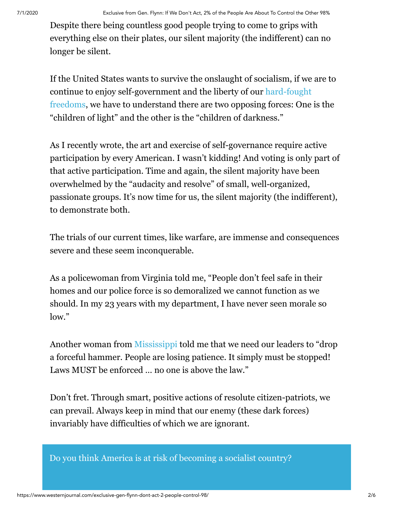Despite there being countless good people trying to come to grips with everything else on their plates, our silent majority (the indifferent) can no longer be silent.

If the United States wants to survive the onslaught of socialism, if we are to continue to enjoy self-government and the liberty of our hard-fought [freedoms, we have to understand there are two opposing forces: One](https://www.westernjournal.com/chief-justice-roberts-joins-liberal-wing-scotus-destroying-religious-liberty/) is the "children of light" and the other is the "children of darkness."

As I recently wrote, the art and exercise of self-governance require active participation by every American. I wasn't kidding! And voting is only part of that active participation. Time and again, the silent majority have been overwhelmed by the "audacity and resolve" of small, well-organized, passionate groups. It's now time for us, the silent majority (the indifferent), to demonstrate both.

The trials of our current times, like warfare, are immense and consequences severe and these seem inconquerable.

As a policewoman from Virginia told me, "People don't feel safe in their homes and our police force is so demoralized we cannot function as we should. In my 23 years with my department, I have never seen morale so low."

Another woman from [Mississippi](https://www.westernjournal.com/ap-mississippi-lawmakers-vote-cancel-confederate-flag/) told me that we need our leaders to "drop" a forceful hammer. People are losing patience. It simply must be stopped! Laws MUST be enforced … no one is above the law."

Don't fret. Through smart, positive actions of resolute citizen-patriots, we can prevail. Always keep in mind that our enemy (these dark forces) invariably have difficulties of which we are ignorant.

Do you think America is at risk of becoming a socialist country?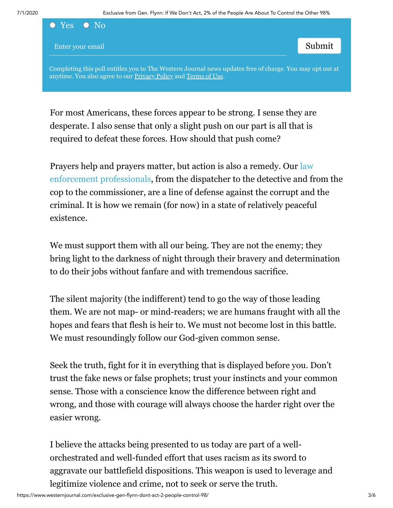

Completing this poll entitles you to The Western Journal news updates free of charge. You may opt out at anytime. You also agree to our **Privacy Policy** and **Terms** of Use.

For most Americans, these forces appear to be strong. I sense they are desperate. I also sense that only a slight push on our part is all that is required to defeat these forces. How should that push come?

[Prayers help and prayers matter, but action is also a remedy. Our law](https://www.westernjournal.com/watch-black-police-officer-schools-virtue-signaling-white-protester-racism/) enforcement professionals, from the dispatcher to the detective and from the cop to the commissioner, are a line of defense against the corrupt and the criminal. It is how we remain (for now) in a state of relatively peaceful existence.

We must support them with all our being. They are not the enemy; they bring light to the darkness of night through their bravery and determination to do their jobs without fanfare and with tremendous sacrifice.

The silent majority (the indifferent) tend to go the way of those leading them. We are not map- or mind-readers; we are humans fraught with all the hopes and fears that flesh is heir to. We must not become lost in this battle. We must resoundingly follow our God-given common sense.

Seek the truth, fight for it in everything that is displayed before you. Don't trust the fake news or false prophets; trust your instincts and your common sense. Those with a conscience know the difference between right and wrong, and those with courage will always choose the harder right over the easier wrong.

I believe the attacks being presented to us today are part of a wellorchestrated and well-funded effort that uses racism as its sword to aggravate our battlefield dispositions. This weapon is used to leverage and legitimize violence and crime, not to seek or serve the truth.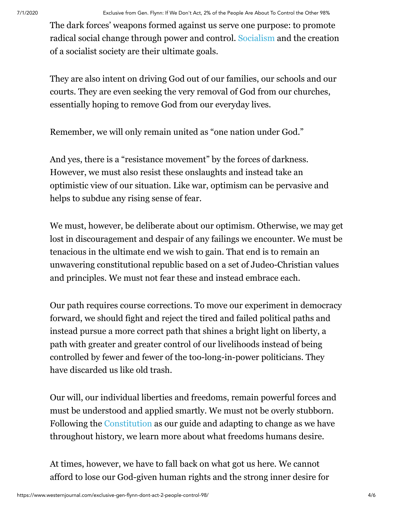The dark forces' weapons formed against us serve one purpose: to promote radical social change through power and control. [Socialism](https://www.westernjournal.com/graham-democrats-party-socialism-mayhem-second-term-trump-crucial/) and the creation of a socialist society are their ultimate goals.

They are also intent on driving God out of our families, our schools and our courts. They are even seeking the very removal of God from our churches, essentially hoping to remove God from our everyday lives.

Remember, we will only remain united as "one nation under God."

And yes, there is a "resistance movement" by the forces of darkness. However, we must also resist these onslaughts and instead take an optimistic view of our situation. Like war, optimism can be pervasive and helps to subdue any rising sense of fear.

We must, however, be deliberate about our optimism. Otherwise, we may get lost in discouragement and despair of any failings we encounter. We must be tenacious in the ultimate end we wish to gain. That end is to remain an unwavering constitutional republic based on a set of Judeo-Christian values and principles. We must not fear these and instead embrace each.

Our path requires course corrections. To move our experiment in democracy forward, we should fight and reject the tired and failed political paths and instead pursue a more correct path that shines a bright light on liberty, a path with greater and greater control of our livelihoods instead of being controlled by fewer and fewer of the too-long-in-power politicians. They have discarded us like old trash.

Our will, our individual liberties and freedoms, remain powerful forces and must be understood and applied smartly. We must not be overly stubborn. Following the [Constitution](https://www.westernjournal.com/federal-judge-cuomo-de-blasios-covid-mandates-violate-religious-groups-constitutional-rights/) as our guide and adapting to change as we have throughout history, we learn more about what freedoms humans desire.

At times, however, we have to fall back on what got us here. We cannot afford to lose our God-given human rights and the strong inner desire for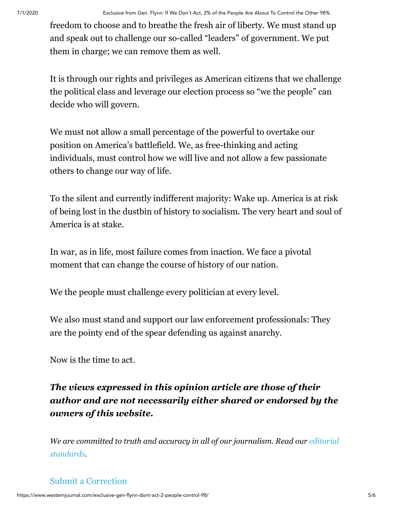freedom to choose and to breathe the fresh air of liberty. We must stand up and speak out to challenge our so-called "leaders" of government. We put them in charge; we can remove them as well.

It is through our rights and privileges as American citizens that we challenge the political class and leverage our election process so "we the people" can decide who will govern.

We must not allow a small percentage of the powerful to overtake our position on America's battlefield. We, as free-thinking and acting individuals, must control how we will live and not allow a few passionate others to change our way of life.

To the silent and currently indifferent majority: Wake up. America is at risk of being lost in the dustbin of history to socialism. The very heart and soul of America is at stake.

In war, as in life, most failure comes from inaction. We face a pivotal moment that can change the course of history of our nation.

We the people must challenge every politician at every level.

We also must stand and support our law enforcement professionals: They are the pointy end of the spear defending us against anarchy.

Now is the time to act.

## *The views expressed in this opinion article are those of their author and are not necessarily either shared or endorsed by the owners of this website.*

*[We are committed to truth and accuracy in all of our journalism. Read our editorial](https://www.westernjournal.com/about/ethics-editorial-standards/) standards.*

### Submit a Correction